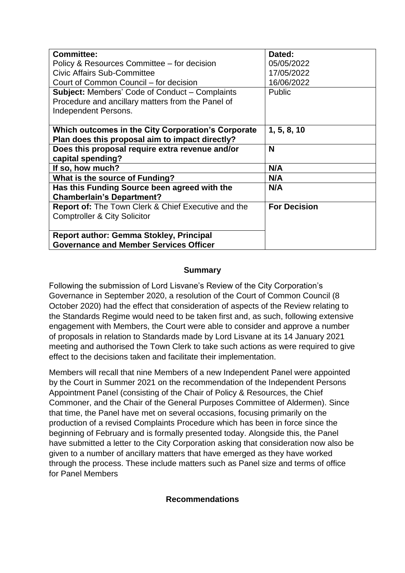| <b>Committee:</b>                                          | Dated:              |
|------------------------------------------------------------|---------------------|
| Policy & Resources Committee – for decision                | 05/05/2022          |
| Civic Affairs Sub-Committee                                | 17/05/2022          |
| Court of Common Council – for decision                     | 16/06/2022          |
| <b>Subject: Members' Code of Conduct - Complaints</b>      | Public              |
| Procedure and ancillary matters from the Panel of          |                     |
| Independent Persons.                                       |                     |
|                                                            |                     |
| Which outcomes in the City Corporation's Corporate         | 1, 5, 8, 10         |
| Plan does this proposal aim to impact directly?            |                     |
| Does this proposal require extra revenue and/or            | N                   |
| capital spending?                                          |                     |
| If so, how much?                                           | N/A                 |
| What is the source of Funding?                             | N/A                 |
| Has this Funding Source been agreed with the               | N/A                 |
| <b>Chamberlain's Department?</b>                           |                     |
| <b>Report of:</b> The Town Clerk & Chief Executive and the | <b>For Decision</b> |
| <b>Comptroller &amp; City Solicitor</b>                    |                     |
|                                                            |                     |
| <b>Report author: Gemma Stokley, Principal</b>             |                     |
| <b>Governance and Member Services Officer</b>              |                     |

# **Summary**

Following the submission of Lord Lisvane's Review of the City Corporation's Governance in September 2020, a resolution of the Court of Common Council (8 October 2020) had the effect that consideration of aspects of the Review relating to the Standards Regime would need to be taken first and, as such, following extensive engagement with Members, the Court were able to consider and approve a number of proposals in relation to Standards made by Lord Lisvane at its 14 January 2021 meeting and authorised the Town Clerk to take such actions as were required to give effect to the decisions taken and facilitate their implementation.

Members will recall that nine Members of a new Independent Panel were appointed by the Court in Summer 2021 on the recommendation of the Independent Persons Appointment Panel (consisting of the Chair of Policy & Resources, the Chief Commoner, and the Chair of the General Purposes Committee of Aldermen). Since that time, the Panel have met on several occasions, focusing primarily on the production of a revised Complaints Procedure which has been in force since the beginning of February and is formally presented today. Alongside this, the Panel have submitted a letter to the City Corporation asking that consideration now also be given to a number of ancillary matters that have emerged as they have worked through the process. These include matters such as Panel size and terms of office for Panel Members

## **Recommendations**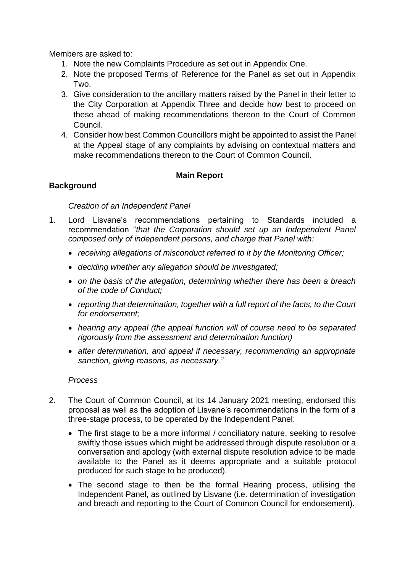Members are asked to:

- 1. Note the new Complaints Procedure as set out in Appendix One.
- 2. Note the proposed Terms of Reference for the Panel as set out in Appendix Two.
- 3. Give consideration to the ancillary matters raised by the Panel in their letter to the City Corporation at Appendix Three and decide how best to proceed on these ahead of making recommendations thereon to the Court of Common Council.
- 4. Consider how best Common Councillors might be appointed to assist the Panel at the Appeal stage of any complaints by advising on contextual matters and make recommendations thereon to the Court of Common Council.

# **Main Report**

# **Background**

# *Creation of an Independent Panel*

- 1. Lord Lisvane's recommendations pertaining to Standards included a recommendation "*that the Corporation should set up an Independent Panel composed only of independent persons, and charge that Panel with:*
	- *receiving allegations of misconduct referred to it by the Monitoring Officer;*
	- *deciding whether any allegation should be investigated;*
	- *on the basis of the allegation, determining whether there has been a breach of the code of Conduct;*
	- *reporting that determination, together with a full report of the facts, to the Court for endorsement;*
	- *hearing any appeal (the appeal function will of course need to be separated rigorously from the assessment and determination function)*
	- *after determination, and appeal if necessary, recommending an appropriate sanction, giving reasons, as necessary."*

## *Process*

- 2. The Court of Common Council, at its 14 January 2021 meeting, endorsed this proposal as well as the adoption of Lisvane's recommendations in the form of a three-stage process, to be operated by the Independent Panel:
	- The first stage to be a more informal / conciliatory nature, seeking to resolve swiftly those issues which might be addressed through dispute resolution or a conversation and apology (with external dispute resolution advice to be made available to the Panel as it deems appropriate and a suitable protocol produced for such stage to be produced).
	- The second stage to then be the formal Hearing process, utilising the Independent Panel, as outlined by Lisvane (i.e. determination of investigation and breach and reporting to the Court of Common Council for endorsement).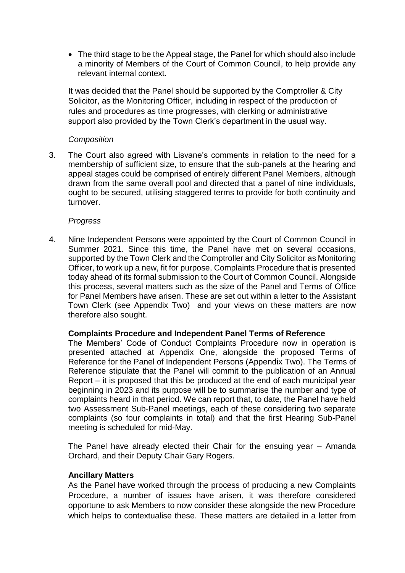• The third stage to be the Appeal stage, the Panel for which should also include a minority of Members of the Court of Common Council, to help provide any relevant internal context.

It was decided that the Panel should be supported by the Comptroller & City Solicitor, as the Monitoring Officer, including in respect of the production of rules and procedures as time progresses, with clerking or administrative support also provided by the Town Clerk's department in the usual way.

## *Composition*

3. The Court also agreed with Lisvane's comments in relation to the need for a membership of sufficient size, to ensure that the sub-panels at the hearing and appeal stages could be comprised of entirely different Panel Members, although drawn from the same overall pool and directed that a panel of nine individuals, ought to be secured, utilising staggered terms to provide for both continuity and turnover.

# *Progress*

4. Nine Independent Persons were appointed by the Court of Common Council in Summer 2021. Since this time, the Panel have met on several occasions, supported by the Town Clerk and the Comptroller and City Solicitor as Monitoring Officer, to work up a new, fit for purpose, Complaints Procedure that is presented today ahead of its formal submission to the Court of Common Council. Alongside this process, several matters such as the size of the Panel and Terms of Office for Panel Members have arisen. These are set out within a letter to the Assistant Town Clerk (see Appendix Two) and your views on these matters are now therefore also sought.

## **Complaints Procedure and Independent Panel Terms of Reference**

The Members' Code of Conduct Complaints Procedure now in operation is presented attached at Appendix One, alongside the proposed Terms of Reference for the Panel of Independent Persons (Appendix Two). The Terms of Reference stipulate that the Panel will commit to the publication of an Annual Report – it is proposed that this be produced at the end of each municipal year beginning in 2023 and its purpose will be to summarise the number and type of complaints heard in that period. We can report that, to date, the Panel have held two Assessment Sub-Panel meetings, each of these considering two separate complaints (so four complaints in total) and that the first Hearing Sub-Panel meeting is scheduled for mid-May.

The Panel have already elected their Chair for the ensuing year – Amanda Orchard, and their Deputy Chair Gary Rogers.

## **Ancillary Matters**

As the Panel have worked through the process of producing a new Complaints Procedure, a number of issues have arisen, it was therefore considered opportune to ask Members to now consider these alongside the new Procedure which helps to contextualise these. These matters are detailed in a letter from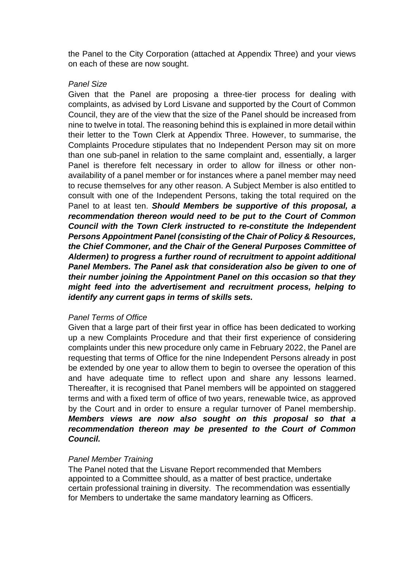the Panel to the City Corporation (attached at Appendix Three) and your views on each of these are now sought.

#### *Panel Size*

Given that the Panel are proposing a three-tier process for dealing with complaints, as advised by Lord Lisvane and supported by the Court of Common Council, they are of the view that the size of the Panel should be increased from nine to twelve in total. The reasoning behind this is explained in more detail within their letter to the Town Clerk at Appendix Three. However, to summarise, the Complaints Procedure stipulates that no Independent Person may sit on more than one sub-panel in relation to the same complaint and, essentially, a larger Panel is therefore felt necessary in order to allow for illness or other nonavailability of a panel member or for instances where a panel member may need to recuse themselves for any other reason. A Subject Member is also entitled to consult with one of the Independent Persons, taking the total required on the Panel to at least ten. *Should Members be supportive of this proposal, a recommendation thereon would need to be put to the Court of Common Council with the Town Clerk instructed to re-constitute the Independent Persons Appointment Panel (consisting of the Chair of Policy & Resources, the Chief Commoner, and the Chair of the General Purposes Committee of Aldermen) to progress a further round of recruitment to appoint additional Panel Members. The Panel ask that consideration also be given to one of their number joining the Appointment Panel on this occasion so that they might feed into the advertisement and recruitment process, helping to identify any current gaps in terms of skills sets.* 

## *Panel Terms of Office*

Given that a large part of their first year in office has been dedicated to working up a new Complaints Procedure and that their first experience of considering complaints under this new procedure only came in February 2022, the Panel are requesting that terms of Office for the nine Independent Persons already in post be extended by one year to allow them to begin to oversee the operation of this and have adequate time to reflect upon and share any lessons learned. Thereafter, it is recognised that Panel members will be appointed on staggered terms and with a fixed term of office of two years, renewable twice, as approved by the Court and in order to ensure a regular turnover of Panel membership. *Members views are now also sought on this proposal so that a recommendation thereon may be presented to the Court of Common Council.*

## *Panel Member Training*

The Panel noted that the Lisvane Report recommended that Members appointed to a Committee should, as a matter of best practice, undertake certain professional training in diversity. The recommendation was essentially for Members to undertake the same mandatory learning as Officers.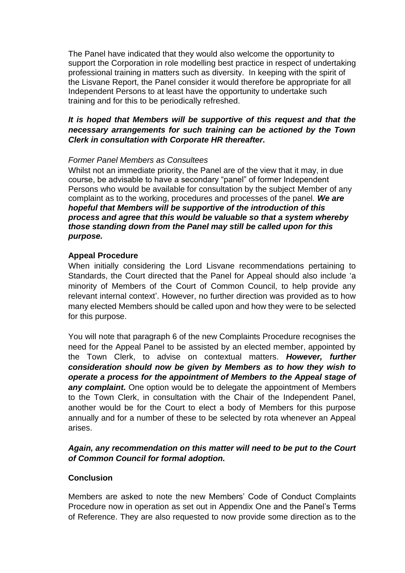The Panel have indicated that they would also welcome the opportunity to support the Corporation in role modelling best practice in respect of undertaking professional training in matters such as diversity. In keeping with the spirit of the Lisvane Report, the Panel consider it would therefore be appropriate for all Independent Persons to at least have the opportunity to undertake such training and for this to be periodically refreshed.

# *It is hoped that Members will be supportive of this request and that the necessary arrangements for such training can be actioned by the Town Clerk in consultation with Corporate HR thereafter.*

## *Former Panel Members as Consultees*

Whilst not an immediate priority, the Panel are of the view that it may, in due course, be advisable to have a secondary "panel" of former Independent Persons who would be available for consultation by the subject Member of any complaint as to the working, procedures and processes of the panel. *We are hopeful that Members will be supportive of the introduction of this process and agree that this would be valuable so that a system whereby those standing down from the Panel may still be called upon for this purpose.* 

#### **Appeal Procedure**

When initially considering the Lord Lisvane recommendations pertaining to Standards, the Court directed that the Panel for Appeal should also include 'a minority of Members of the Court of Common Council, to help provide any relevant internal context'. However, no further direction was provided as to how many elected Members should be called upon and how they were to be selected for this purpose.

You will note that paragraph 6 of the new Complaints Procedure recognises the need for the Appeal Panel to be assisted by an elected member, appointed by the Town Clerk, to advise on contextual matters. *However, further consideration should now be given by Members as to how they wish to operate a process for the appointment of Members to the Appeal stage of*  any complaint. One option would be to delegate the appointment of Members to the Town Clerk, in consultation with the Chair of the Independent Panel, another would be for the Court to elect a body of Members for this purpose annually and for a number of these to be selected by rota whenever an Appeal arises.

# *Again, any recommendation on this matter will need to be put to the Court of Common Council for formal adoption.*

## **Conclusion**

Members are asked to note the new Members' Code of Conduct Complaints Procedure now in operation as set out in Appendix One and the Panel's Terms of Reference. They are also requested to now provide some direction as to the